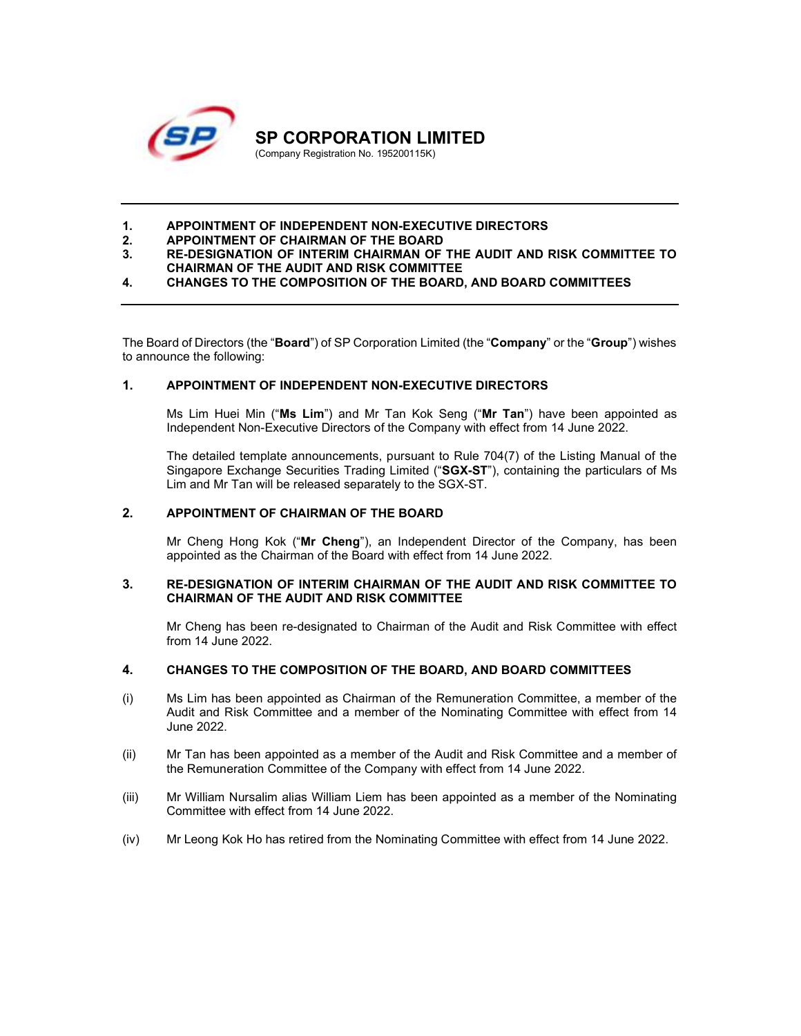

# 1. APPOINTMENT OF INDEPENDENT NON-EXECUTIVE DIRECTORS<br>2. APPOINTMENT OF CHAIRMAN OF THE BOARD

- 2. APPOINTMENT OF CHAIRMAN OF THE BOARD
- 3. RE-DESIGNATION OF INTERIM CHAIRMAN OF THE AUDIT AND RISK COMMITTEE TO CHAIRMAN OF THE AUDIT AND RISK COMMITTEE
- 4. CHANGES TO THE COMPOSITION OF THE BOARD, AND BOARD COMMITTEES

The Board of Directors (the "**Board**") of SP Corporation Limited (the "Company" or the "Group") wishes to announce the following:

## 1. APPOINTMENT OF INDEPENDENT NON-EXECUTIVE DIRECTORS

Ms Lim Huei Min ("Ms Lim") and Mr Tan Kok Seng ("Mr Tan") have been appointed as Independent Non-Executive Directors of the Company with effect from 14 June 2022.

The detailed template announcements, pursuant to Rule 704(7) of the Listing Manual of the Singapore Exchange Securities Trading Limited ("SGX-ST"), containing the particulars of Ms Lim and Mr Tan will be released separately to the SGX-ST.

## 2. APPOINTMENT OF CHAIRMAN OF THE BOARD

Mr Cheng Hong Kok ("Mr Cheng"), an Independent Director of the Company, has been appointed as the Chairman of the Board with effect from 14 June 2022.

#### 3. RE-DESIGNATION OF INTERIM CHAIRMAN OF THE AUDIT AND RISK COMMITTEE TO CHAIRMAN OF THE AUDIT AND RISK COMMITTEE

Mr Cheng has been re-designated to Chairman of the Audit and Risk Committee with effect from 14 June 2022.

## 4. CHANGES TO THE COMPOSITION OF THE BOARD, AND BOARD COMMITTEES

- (i) Ms Lim has been appointed as Chairman of the Remuneration Committee, a member of the Audit and Risk Committee and a member of the Nominating Committee with effect from 14 June 2022.
- (ii) Mr Tan has been appointed as a member of the Audit and Risk Committee and a member of the Remuneration Committee of the Company with effect from 14 June 2022.
- (iii) Mr William Nursalim alias William Liem has been appointed as a member of the Nominating Committee with effect from 14 June 2022.
- (iv) Mr Leong Kok Ho has retired from the Nominating Committee with effect from 14 June 2022.